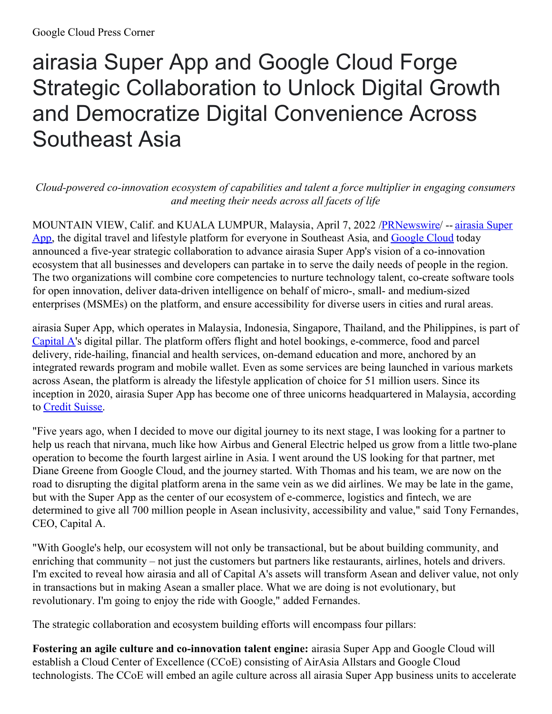## airasia Super App and Google Cloud Forge Strategic Collaboration to Unlock Digital Growth and Democratize Digital Convenience Across Southeast Asia

*Cloud-powered co-innovation ecosystem of capabilities and talent a force multiplier in engaging consumers and meeting their needs across all facets of life*

MOUNTAIN VIEW, Calif. and KUALA LUMPUR, Malaysia, April 7, 2022 [/](https://c212.net/c/link/?t=0&l=en&o=3498693-1&h=874237602&u=https%3A%2F%2Fwww.airasia.com%2Faa%2Fappdownload%2F&a=airasia+Super+App)[PRNewswir](http://www.prnewswire.com/)[e/](https://c212.net/c/link/?t=0&l=en&o=3498693-1&h=874237602&u=https%3A%2F%2Fwww.airasia.com%2Faa%2Fappdownload%2F&a=airasia+Super+App) -- airasia Super App, the digital travel and lifestyle platform for everyone in Southeast Asia, and [Google](https://c212.net/c/link/?t=0&l=en&o=3498693-1&h=2027858205&u=https%3A%2F%2Fcloud.google.com%2F&a=Google+Cloud) Cloud today announced a five-year strategic collaboration to advance airasia Super App's vision of a co-innovation ecosystem that all businesses and developers can partake in to serve the daily needs of people in the region. The two organizations will combine core competencies to nurture technology talent, co-create software tools for open innovation, deliver data-driven intelligence on behalf of micro-, small- and medium-sized enterprises (MSMEs) on the platform, and ensure accessibility for diverse users in cities and rural areas.

airasia Super App, which operates in Malaysia, Indonesia, Singapore, Thailand, and the Philippines, is part of [Capital](https://c212.net/c/link/?t=0&l=en&o=3498693-1&h=2589283351&u=https%3A%2F%2Fcapitala.airasia.com%2F&a=Capital+A) A's digital pillar. The platform offers flight and hotel bookings, e-commerce, food and parcel delivery, ride-hailing, financial and health services, on-demand education and more, anchored by an integrated rewards program and mobile wallet. Even as some services are being launched in various markets across Asean, the platform is already the lifestyle application of choice for 51 million users. Since its inception in 2020, airasia Super App has become one of three unicorns headquartered in Malaysia, according to Credit [Suisse](https://c212.net/c/link/?t=0&l=en&o=3498693-1&h=4023812134&u=https%3A%2F%2Fdrive.google.com%2Ffile%2Fd%2F1DJ4X2xVJHWTQX4bS6o3YuaKYhnTqK_rk%2Fview&a=Credit+Suisse).

"Five years ago, when I decided to move our digital journey to its next stage, I was looking for a partner to help us reach that nirvana, much like how Airbus and General Electric helped us grow from a little two-plane operation to become the fourth largest airline in Asia. I went around the US looking for that partner, met Diane Greene from Google Cloud, and the journey started. With Thomas and his team, we are now on the road to disrupting the digital platform arena in the same vein as we did airlines. We may be late in the game, but with the Super App as the center of our ecosystem of e-commerce, logistics and fintech, we are determined to give all 700 million people in Asean inclusivity, accessibility and value," said Tony Fernandes, CEO, Capital A.

"With Google's help, our ecosystem will not only be transactional, but be about building community, and enriching that community – not just the customers but partners like restaurants, airlines, hotels and drivers. I'm excited to reveal how airasia and all of Capital A's assets will transform Asean and deliver value, not only in transactions but in making Asean a smaller place. What we are doing is not evolutionary, but revolutionary. I'm going to enjoy the ride with Google," added Fernandes.

The strategic collaboration and ecosystem building efforts will encompass four pillars:

**Fostering an agile culture and co-innovation talent engine:** airasia Super App and Google Cloud will establish a Cloud Center of Excellence (CCoE) consisting of AirAsia Allstars and Google Cloud technologists. The CCoE will embed an agile culture across all airasia Super App business units to accelerate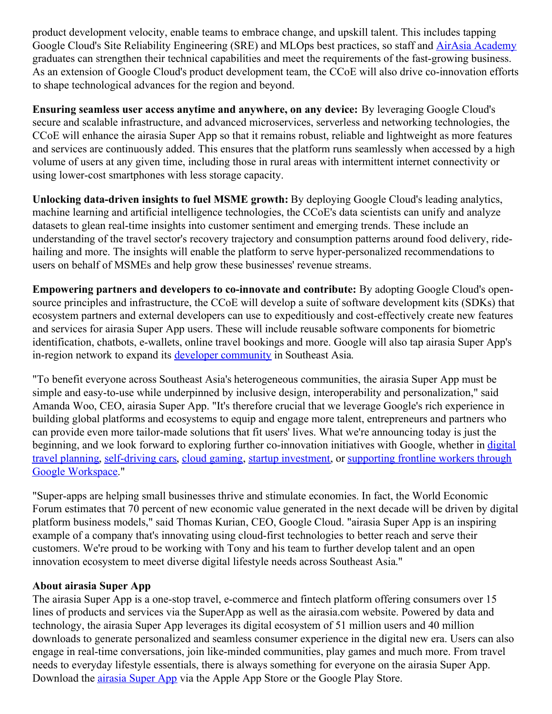product development velocity, enable teams to embrace change, and upskill talent. This includes tapping Google Cloud's Site Reliability Engineering (SRE) and MLOps best practices, so staff and AirAsia [Academy](https://c212.net/c/link/?t=0&l=en&o=3498693-1&h=3793129638&u=https%3A%2F%2Fredbeatacademy.com%2F&a=AirAsia+Academy) graduates can strengthen their technical capabilities and meet the requirements of the fast-growing business. As an extension of Google Cloud's product development team, the CCoE will also drive co-innovation efforts to shape technological advances for the region and beyond.

**Ensuring seamless user access anytime and anywhere, on any device:** By leveraging Google Cloud's secure and scalable infrastructure, and advanced microservices, serverless and networking technologies, the CCoE will enhance the airasia Super App so that it remains robust, reliable and lightweight as more features and services are continuously added. This ensures that the platform runs seamlessly when accessed by a high volume of users at any given time, including those in rural areas with intermittent internet connectivity or using lower-cost smartphones with less storage capacity.

**Unlocking data-driven insights to fuel MSME growth:** By deploying Google Cloud's leading analytics, machine learning and artificial intelligence technologies, the CCoE's data scientists can unify and analyze datasets to glean real-time insights into customer sentiment and emerging trends. These include an understanding of the travel sector's recovery trajectory and consumption patterns around food delivery, ridehailing and more. The insights will enable the platform to serve hyper-personalized recommendations to users on behalf of MSMEs and help grow these businesses' revenue streams.

**Empowering partners and developers to co-innovate and contribute:** By adopting Google Cloud's opensource principles and infrastructure, the CCoE will develop a suite of software development kits (SDKs) that ecosystem partners and external developers can use to expeditiously and cost-effectively create new features and services for airasia Super App users. These will include reusable software components for biometric identification, chatbots, e-wallets, online travel bookings and more. Google will also tap airasia Super App's in-region network to expand its developer [community](https://c212.net/c/link/?t=0&l=en&o=3498693-1&h=3882217204&u=https%3A%2F%2Fdevelopers.google.com%2F&a=developer+community) in Southeast Asia.

"To benefit everyone across Southeast Asia's heterogeneous communities, the airasia Super App must be simple and easy-to-use while underpinned by inclusive design, interoperability and personalization," said Amanda Woo, CEO, airasia Super App. "It's therefore crucial that we leverage Google's rich experience in building global platforms and ecosystems to equip and engage more talent, entrepreneurs and partners who can provide even more tailor-made solutions that fit users' lives. What we're announcing today is just the beginning, and we look forward to exploring further [co-innovation](https://c212.net/c/link/?t=0&l=en&o=3498693-1&h=1666611543&u=https%3A%2F%2Fwww.google.com%2Ftravel%2F&a=digital+travel+planning) initiatives with Google, whether in digital travel planning, [self-driving](https://c212.net/c/link/?t=0&l=en&o=3498693-1&h=1523226428&u=https%3A%2F%2Fwaymo.com%2F&a=self-driving+cars) cars, cloud [gaming](https://c212.net/c/link/?t=0&l=en&o=3498693-1&h=3450646247&u=https%3A%2F%2Fstadia.dev%2F&a=cloud+gaming), startup [investment](https://c212.net/c/link/?t=0&l=en&o=3498693-1&h=3799029316&u=https%3A%2F%2Fwww.capitalg.com%2F&a=startup+investment), or supporting frontline workers through Google [Workspace."](https://c212.net/c/link/?t=0&l=en&o=3498693-1&h=3774876626&u=https%3A%2F%2Fcloud.google.com%2Fblog%2Fproducts%2Fworkspace%2Fenabling-frontline-workers-in-asia-pacific&a=supporting+frontline+workers+through+Google+Workspace)

"Super-apps are helping small businesses thrive and stimulate economies. In fact, the World Economic Forum estimates that 70 percent of new economic value generated in the next decade will be driven by digital platform business models," said Thomas Kurian, CEO, Google Cloud. "airasia Super App is an inspiring example of a company that's innovating using cloud-first technologies to better reach and serve their customers. We're proud to be working with Tony and his team to further develop talent and an open innovation ecosystem to meet diverse digital lifestyle needs across Southeast Asia."

## **About airasia Super App**

The airasia Super App is a one-stop travel, e-commerce and fintech platform offering consumers over 15 lines of products and services via the SuperApp as well as the airasia.com website. Powered by data and technology, the airasia Super App leverages its digital ecosystem of 51 million users and 40 million downloads to generate personalized and seamless consumer experience in the digital new era. Users can also engage in real-time conversations, join like-minded communities, play games and much more. From travel needs to everyday lifestyle essentials, there is always something for everyone on the airasia Super App. Download the **[airasia](https://c212.net/c/link/?t=0&l=en&o=3498693-1&h=874237602&u=https%3A%2F%2Fwww.airasia.com%2Faa%2Fappdownload%2F&a=airasia+Super+App) Super App** via the Apple App Store or the Google Play Store.